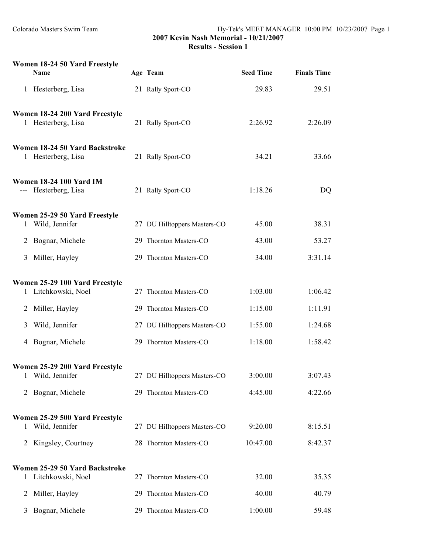|   | Women 18-24 50 Yard Freestyle<br>Name                  |    | Age Team                     | <b>Seed Time</b> | <b>Finals Time</b> |
|---|--------------------------------------------------------|----|------------------------------|------------------|--------------------|
|   | 1 Hesterberg, Lisa                                     |    | 21 Rally Sport-CO            | 29.83            | 29.51              |
|   | Women 18-24 200 Yard Freestyle<br>1 Hesterberg, Lisa   |    | 21 Rally Sport-CO            | 2:26.92          | 2:26.09            |
|   | Women 18-24 50 Yard Backstroke<br>1 Hesterberg, Lisa   |    | 21 Rally Sport-CO            | 34.21            | 33.66              |
|   | <b>Women 18-24 100 Yard IM</b><br>--- Hesterberg, Lisa |    | 21 Rally Sport-CO            | 1:18.26          | DQ                 |
| 1 | Women 25-29 50 Yard Freestyle<br>Wild, Jennifer        |    | 27 DU Hilltoppers Masters-CO | 45.00            | 38.31              |
| 2 | Bognar, Michele                                        |    | 29 Thornton Masters-CO       | 43.00            | 53.27              |
| 3 | Miller, Hayley                                         |    | 29 Thornton Masters-CO       | 34.00            | 3:31.14            |
| 1 | Women 25-29 100 Yard Freestyle<br>Litchkowski, Noel    |    | 27 Thornton Masters-CO       | 1:03.00          | 1:06.42            |
| 2 | Miller, Hayley                                         |    | 29 Thornton Masters-CO       | 1:15.00          | 1:11.91            |
| 3 | Wild, Jennifer                                         |    | 27 DU Hilltoppers Masters-CO | 1:55.00          | 1:24.68            |
|   | 4 Bognar, Michele                                      |    | 29 Thornton Masters-CO       | 1:18.00          | 1:58.42            |
| 1 | Women 25-29 200 Yard Freestyle<br>Wild, Jennifer       |    | 27 DU Hilltoppers Masters-CO | 3:00.00          | 3:07.43            |
| 2 | Bognar, Michele                                        |    | 29 Thornton Masters-CO       | 4:45.00          | 4:22.66            |
| 1 | Women 25-29 500 Yard Freestyle<br>Wild, Jennifer       |    | 27 DU Hilltoppers Masters-CO | 9:20.00          | 8:15.51            |
| 2 | Kingsley, Courtney                                     |    | 28 Thornton Masters-CO       | 10:47.00         | 8:42.37            |
| 1 | Women 25-29 50 Yard Backstroke<br>Litchkowski, Noel    |    | 27 Thornton Masters-CO       | 32.00            | 35.35              |
| 2 | Miller, Hayley                                         | 29 | Thornton Masters-CO          | 40.00            | 40.79              |
| 3 | Bognar, Michele                                        |    | 29 Thornton Masters-CO       | 1:00.00          | 59.48              |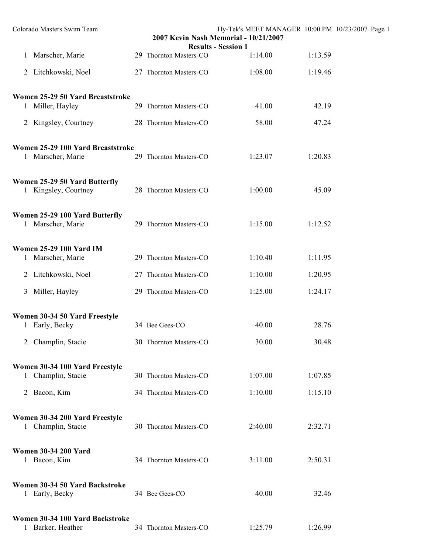| Colorado Masters Swim Team                                         |                        | Hy-Tek's MEET MANAGER 10:00 PM 10/23/2007 Page 1<br>2007 Kevin Nash Memorial - 10/21/2007 |         |  |
|--------------------------------------------------------------------|------------------------|-------------------------------------------------------------------------------------------|---------|--|
| 1 Marscher, Marie                                                  | 29 Thornton Masters-CO | <b>Results - Session 1</b><br>1:14.00                                                     | 1:13.59 |  |
| 2 Litchkowski, Noel                                                | 27 Thornton Masters-CO | 1:08.00                                                                                   | 1:19.46 |  |
| Women 25-29 50 Yard Breaststroke<br>1 Miller, Hayley               | 29 Thornton Masters-CO | 41.00                                                                                     | 42.19   |  |
| 2 Kingsley, Courtney                                               | 28 Thornton Masters-CO | 58.00                                                                                     | 47.24   |  |
| Women 25-29 100 Yard Breaststroke<br>1 Marscher, Marie             | 29 Thornton Masters-CO | 1:23.07                                                                                   | 1:20.83 |  |
| Women 25-29 50 Yard Butterfly<br>1 Kingsley, Courtney              | 28 Thornton Masters-CO | 1:00.00                                                                                   | 45.09   |  |
| Women 25-29 100 Yard Butterfly<br>1 Marscher, Marie                | 29 Thornton Masters-CO | 1:15.00                                                                                   | 1:12.52 |  |
| <b>Women 25-29 100 Yard IM</b><br>1 Marscher, Marie                | 29 Thornton Masters-CO | 1:10.40                                                                                   | 1:11.95 |  |
| 2 Litchkowski, Noel                                                | 27 Thornton Masters-CO | 1:10.00                                                                                   | 1:20.95 |  |
| Miller, Hayley<br>3                                                | 29 Thornton Masters-CO | 1:25.00                                                                                   | 1:24.17 |  |
| Women 30-34 50 Yard Freestyle<br>1 Early, Becky                    | 34 Bee Gees-CO         | 40.00                                                                                     | 28.76   |  |
| Champlin, Stacie                                                   | 30 Thornton Masters-CO | 30.00                                                                                     | 30.48   |  |
| Women 30-34 100 Yard Freestyle<br>Champlin, Stacie<br>$\mathbf{1}$ | 30 Thornton Masters-CO | 1:07.00                                                                                   | 1:07.85 |  |
| 2 Bacon, Kim                                                       | 34 Thornton Masters-CO | 1:10.00                                                                                   | 1:15.10 |  |
| Women 30-34 200 Yard Freestyle<br>1 Champlin, Stacie               | 30 Thornton Masters-CO | 2:40.00                                                                                   | 2:32.71 |  |
| <b>Women 30-34 200 Yard</b><br>1 Bacon, Kim                        | 34 Thornton Masters-CO | 3:11.00                                                                                   | 2:50.31 |  |
| Women 30-34 50 Yard Backstroke<br>1 Early, Becky                   | 34 Bee Gees-CO         | 40.00                                                                                     | 32.46   |  |
| Women 30-34 100 Yard Backstroke<br>1 Barker. Heather               | 34 Thornton Masters-CO | 1:25.79                                                                                   | 1:26.99 |  |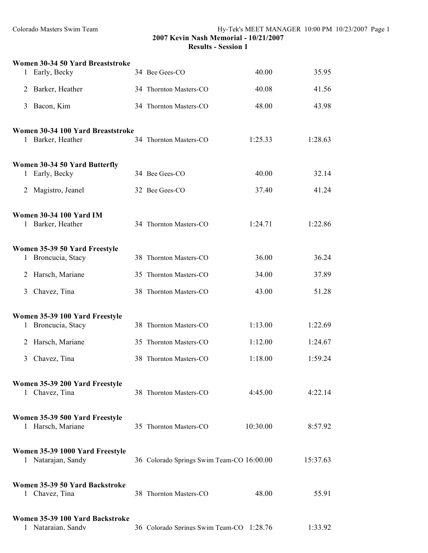|   | Women 30-34 50 Yard Breaststroke                       |                                           |          |          |
|---|--------------------------------------------------------|-------------------------------------------|----------|----------|
| 1 | Early, Becky                                           | 34 Bee Gees-CO                            | 40.00    | 35.95    |
| 2 | Barker, Heather                                        | 34 Thornton Masters-CO                    | 40.08    | 41.56    |
| 3 | Bacon, Kim                                             | 34 Thornton Masters-CO                    | 48.00    | 43.98    |
|   | Women 30-34 100 Yard Breaststroke<br>1 Barker, Heather | 34 Thornton Masters-CO                    | 1:25.33  | 1:28.63  |
|   | Women 30-34 50 Yard Butterfly<br>1 Early, Becky        | 34 Bee Gees-CO                            | 40.00    | 32.14    |
| 2 | Magistro, Jeanel                                       | 32 Bee Gees-CO                            | 37.40    | 41.24    |
|   | <b>Women 30-34 100 Yard IM</b><br>1 Barker, Heather    | 34 Thornton Masters-CO                    | 1:24.71  | 1:22.86  |
| 1 | Women 35-39 50 Yard Freestyle<br>Broncucia, Stacy      | 38 Thornton Masters-CO                    | 36.00    | 36.24    |
| 2 | Harsch, Mariane                                        | 35 Thornton Masters-CO                    | 34.00    | 37.89    |
| 3 | Chavez, Tina                                           | 38 Thornton Masters-CO                    | 43.00    | 51.28    |
|   | Women 35-39 100 Yard Freestyle<br>1 Broncucia, Stacy   | 38 Thornton Masters-CO                    | 1:13.00  | 1:22.69  |
| 2 | Harsch, Mariane                                        | 35 Thornton Masters-CO                    | 1:12.00  | 1:24.67  |
| 3 | Chavez, Tina                                           | 38 Thornton Masters-CO                    | 1:18.00  | 1:59.24  |
|   | Women 35-39 200 Yard Freestyle<br>1 Chavez, Tina       | 38 Thornton Masters-CO                    | 4:45.00  | 4:22.14  |
|   | Women 35-39 500 Yard Freestyle<br>1 Harsch, Mariane    | 35 Thornton Masters-CO                    | 10:30.00 | 8:57.92  |
| 1 | Women 35-39 1000 Yard Freestyle<br>Natarajan, Sandy    | 36 Colorado Springs Swim Team-CO 16:00.00 |          | 15:37.63 |
|   | Women 35-39 50 Yard Backstroke<br>1 Chavez, Tina       | 38 Thornton Masters-CO                    | 48.00    | 55.91    |
|   | Women 35-39 100 Yard Backstroke<br>1 Nataraian. Sandv  | 36 Colorado Springs Swim Team-CO 1:28.76  |          | 1:33.92  |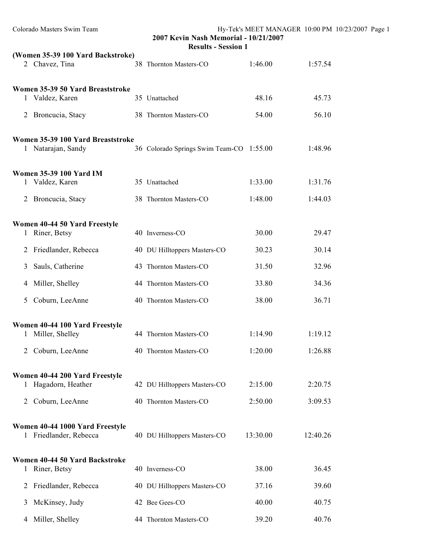| Colorado Masters Swim Team |                                                           |  | 2007 Kevin Nash Memorial - 10/21/2007<br><b>Results - Session 1</b> |          |          | Hy-Tek's MEET MANAGER 10:00 PM 10/23/2007 Page 1 |
|----------------------------|-----------------------------------------------------------|--|---------------------------------------------------------------------|----------|----------|--------------------------------------------------|
|                            | (Women 35-39 100 Yard Backstroke)                         |  |                                                                     |          |          |                                                  |
|                            | 2 Chavez, Tina                                            |  | 38 Thornton Masters-CO                                              | 1:46.00  | 1:57.54  |                                                  |
|                            | Women 35-39 50 Yard Breaststroke<br>1 Valdez, Karen       |  | 35 Unattached                                                       | 48.16    | 45.73    |                                                  |
|                            | 2 Broncucia, Stacy                                        |  | 38 Thornton Masters-CO                                              | 54.00    | 56.10    |                                                  |
|                            | Women 35-39 100 Yard Breaststroke<br>1 Natarajan, Sandy   |  | 36 Colorado Springs Swim Team-CO 1:55.00                            |          | 1:48.96  |                                                  |
|                            | <b>Women 35-39 100 Yard IM</b><br>1 Valdez, Karen         |  | 35 Unattached                                                       | 1:33.00  | 1:31.76  |                                                  |
|                            | 2 Broncucia, Stacy                                        |  | 38 Thornton Masters-CO                                              | 1:48.00  | 1:44.03  |                                                  |
| 1                          | Women 40-44 50 Yard Freestyle<br>Riner, Betsy             |  | 40 Inverness-CO                                                     | 30.00    | 29.47    |                                                  |
| $\overline{2}$             | Friedlander, Rebecca                                      |  | 40 DU Hilltoppers Masters-CO                                        | 30.23    | 30.14    |                                                  |
| 3                          | Sauls, Catherine                                          |  | 43 Thornton Masters-CO                                              | 31.50    | 32.96    |                                                  |
| 4                          | Miller, Shelley                                           |  | 44 Thornton Masters-CO                                              | 33.80    | 34.36    |                                                  |
| 5                          | Coburn, LeeAnne                                           |  | 40 Thornton Masters-CO                                              | 38.00    | 36.71    |                                                  |
|                            | Women 40-44 100 Yard Freestyle<br>Miller, Shelley         |  | 44 Thornton Masters-CO                                              | 1:14.90  | 1:19.12  |                                                  |
| 2                          | Coburn, LeeAnne                                           |  | 40 Thornton Masters-CO                                              | 1:20.00  | 1:26.88  |                                                  |
|                            | Women 40-44 200 Yard Freestyle                            |  |                                                                     |          |          |                                                  |
| $\mathbf{I}$               | Hagadorn, Heather                                         |  | 42 DU Hilltoppers Masters-CO                                        | 2:15.00  | 2:20.75  |                                                  |
| 2                          | Coburn, LeeAnne                                           |  | 40 Thornton Masters-CO                                              | 2:50.00  | 3:09.53  |                                                  |
|                            | Women 40-44 1000 Yard Freestyle<br>1 Friedlander, Rebecca |  | 40 DU Hilltoppers Masters-CO                                        | 13:30.00 | 12:40.26 |                                                  |
| $\mathbf{I}$               | Women 40-44 50 Yard Backstroke<br>Riner, Betsy            |  | 40 Inverness-CO                                                     | 38.00    | 36.45    |                                                  |
| 2                          | Friedlander, Rebecca                                      |  | 40 DU Hilltoppers Masters-CO                                        | 37.16    | 39.60    |                                                  |
| 3                          | McKinsey, Judy                                            |  | 42 Bee Gees-CO                                                      | 40.00    | 40.75    |                                                  |
| 4                          | Miller, Shelley                                           |  | 44 Thornton Masters-CO                                              | 39.20    | 40.76    |                                                  |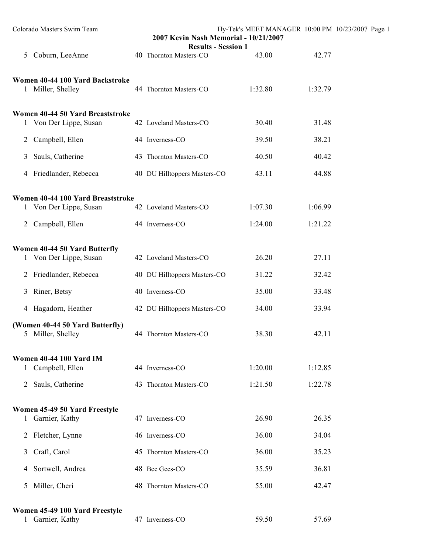| Colorado Masters Swim Team                                           |                              | Hy-Tek's MEET MANAGER 10:00 PM 10/23/2007 Page 1<br>2007 Kevin Nash Memorial - 10/21/2007<br><b>Results - Session 1</b> |         |  |  |
|----------------------------------------------------------------------|------------------------------|-------------------------------------------------------------------------------------------------------------------------|---------|--|--|
| Coburn, LeeAnne<br>5                                                 | 40 Thornton Masters-CO       | 43.00                                                                                                                   | 42.77   |  |  |
| Women 40-44 100 Yard Backstroke<br>1 Miller, Shelley                 | 44 Thornton Masters-CO       | 1:32.80                                                                                                                 | 1:32.79 |  |  |
| Women 40-44 50 Yard Breaststroke<br>1 Von Der Lippe, Susan           | 42 Loveland Masters-CO       | 30.40                                                                                                                   | 31.48   |  |  |
| Campbell, Ellen<br>$\overline{2}$                                    | 44 Inverness-CO              | 39.50                                                                                                                   | 38.21   |  |  |
| Sauls, Catherine<br>3                                                | 43 Thornton Masters-CO       | 40.50                                                                                                                   | 40.42   |  |  |
| Friedlander, Rebecca<br>4                                            | 40 DU Hilltoppers Masters-CO | 43.11                                                                                                                   | 44.88   |  |  |
| Women 40-44 100 Yard Breaststroke                                    |                              |                                                                                                                         |         |  |  |
| 1 Von Der Lippe, Susan                                               | 42 Loveland Masters-CO       | 1:07.30                                                                                                                 | 1:06.99 |  |  |
| 2 Campbell, Ellen                                                    | 44 Inverness-CO              | 1:24.00                                                                                                                 | 1:21.22 |  |  |
| Women 40-44 50 Yard Butterfly<br>1 Von Der Lippe, Susan              | 42 Loveland Masters-CO       | 26.20                                                                                                                   | 27.11   |  |  |
| 2 Friedlander, Rebecca                                               | 40 DU Hilltoppers Masters-CO | 31.22                                                                                                                   | 32.42   |  |  |
| Riner, Betsy<br>3                                                    | 40 Inverness-CO              | 35.00                                                                                                                   | 33.48   |  |  |
| 4 Hagadorn, Heather                                                  | 42 DU Hilltoppers Masters-CO | 34.00                                                                                                                   | 33.94   |  |  |
| (Women 40-44 50 Yard Butterfly)<br>Miller, Shelley<br>$\mathfrak{S}$ | 44 Thornton Masters-CO       | 38.30                                                                                                                   | 42.11   |  |  |
| <b>Women 40-44 100 Yard IM</b><br>Campbell, Ellen<br>$\mathbf{1}$    | 44 Inverness-CO              | 1:20.00                                                                                                                 | 1:12.85 |  |  |
| Sauls, Catherine<br>$\overline{2}$                                   | 43 Thornton Masters-CO       | 1:21.50                                                                                                                 | 1:22.78 |  |  |
| Women 45-49 50 Yard Freestyle<br>Garnier, Kathy<br>1                 | 47 Inverness-CO              | 26.90                                                                                                                   | 26.35   |  |  |
| Fletcher, Lynne<br>$\mathbf{2}$                                      | 46 Inverness-CO              | 36.00                                                                                                                   | 34.04   |  |  |
| Craft, Carol<br>3                                                    | 45 Thornton Masters-CO       | 36.00                                                                                                                   | 35.23   |  |  |
| Sortwell, Andrea<br>4                                                | 48 Bee Gees-CO               | 35.59                                                                                                                   | 36.81   |  |  |
| Miller, Cheri<br>5                                                   | 48 Thornton Masters-CO       | 55.00                                                                                                                   | 42.47   |  |  |
| Women 45-49 100 Yard Freestyle<br>Garnier, Kathy<br>$\mathbf{1}$     | 47 Inverness-CO              | 59.50                                                                                                                   | 57.69   |  |  |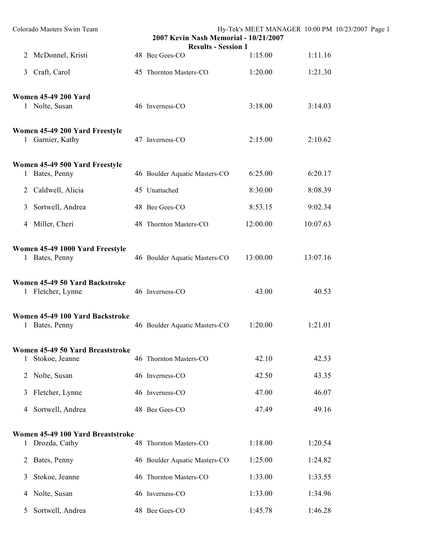|                | Colorado Masters Swim Team                          | Hy-Tek's MEET MANAGER 10:00 PM 10/23/2007 Page 1<br>2007 Kevin Nash Memorial - 10/21/2007<br><b>Results - Session 1</b> |                               |          |          |  |  |  |
|----------------|-----------------------------------------------------|-------------------------------------------------------------------------------------------------------------------------|-------------------------------|----------|----------|--|--|--|
|                | 2 McDonnel, Kristi                                  |                                                                                                                         | 48 Bee Gees-CO                | 1:15.00  | 1:11.16  |  |  |  |
| 3 <sup>1</sup> | Craft, Carol                                        |                                                                                                                         | 45 Thornton Masters-CO        | 1:20.00  | 1:21.30  |  |  |  |
|                | <b>Women 45-49 200 Yard</b><br>1 Nolte, Susan       |                                                                                                                         | 46 Inverness-CO               | 3:18.00  | 3:14.03  |  |  |  |
|                | Women 45-49 200 Yard Freestyle<br>1 Garnier, Kathy  |                                                                                                                         | 47 Inverness-CO               | 2:15.00  | 2:10.62  |  |  |  |
|                | Women 45-49 500 Yard Freestyle<br>1 Bates, Penny    |                                                                                                                         | 46 Boulder Aquatic Masters-CO | 6:25.00  | 6:20.17  |  |  |  |
| $\overline{2}$ | Caldwell, Alicia                                    |                                                                                                                         | 45 Unattached                 | 8:30.00  | 8:08.39  |  |  |  |
| 3              | Sortwell, Andrea                                    |                                                                                                                         | 48 Bee Gees-CO                | 8:53.15  | 9:02.34  |  |  |  |
|                | 4 Miller, Cheri                                     |                                                                                                                         | 48 Thornton Masters-CO        | 12:00.00 | 10:07.63 |  |  |  |
|                | Women 45-49 1000 Yard Freestyle<br>1 Bates, Penny   |                                                                                                                         | 46 Boulder Aquatic Masters-CO | 13:00.00 | 13:07.16 |  |  |  |
|                | Women 45-49 50 Yard Backstroke<br>1 Fletcher, Lynne |                                                                                                                         | 46 Inverness-CO               | 43.00    | 40.53    |  |  |  |
|                | Women 45-49 100 Yard Backstroke<br>1 Bates, Penny   |                                                                                                                         | 46 Boulder Aquatic Masters-CO | 1:20.00  | 1:21.01  |  |  |  |
| $\mathbf{1}$   | Women 45-49 50 Yard Breaststroke<br>Stokoe, Jeanne  |                                                                                                                         | 46 Thornton Masters-CO        | 42.10    | 42.53    |  |  |  |
| 2              | Nolte, Susan                                        |                                                                                                                         | 46 Inverness-CO               | 42.50    | 43.35    |  |  |  |
| 3              | Fletcher, Lynne                                     |                                                                                                                         | 46 Inverness-CO               | 47.00    | 46.07    |  |  |  |
| 4              | Sortwell, Andrea                                    |                                                                                                                         | 48 Bee Gees-CO                | 47.49    | 49.16    |  |  |  |
| $\mathbf{1}$   | Women 45-49 100 Yard Breaststroke<br>Drozda, Cathy  |                                                                                                                         | 48 Thornton Masters-CO        | 1:18.00  | 1:20.54  |  |  |  |
| 2              | Bates, Penny                                        |                                                                                                                         | 46 Boulder Aquatic Masters-CO | 1:25.00  | 1:24.82  |  |  |  |
| 3              | Stokoe, Jeanne                                      |                                                                                                                         | 46 Thornton Masters-CO        | 1:33.00  | 1:33.55  |  |  |  |
| 4              | Nolte, Susan                                        |                                                                                                                         | 46 Inverness-CO               | 1:33.00  | 1:34.96  |  |  |  |
| 5              | Sortwell, Andrea                                    |                                                                                                                         | 48 Bee Gees-CO                | 1:45.78  | 1:46.28  |  |  |  |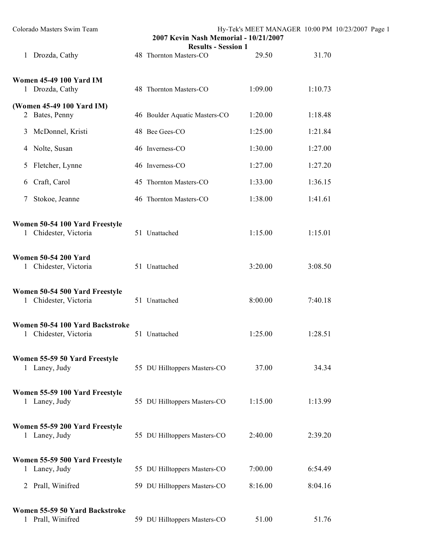| Colorado Masters Swim Team                              | 2007 Kevin Nash Memorial - 10/21/2007<br><b>Results - Session 1</b> |         | Hy-Tek's MEET MANAGER 10:00 PM 10/23/2007 Page 1 |  |
|---------------------------------------------------------|---------------------------------------------------------------------|---------|--------------------------------------------------|--|
| 1 Drozda, Cathy                                         | 48 Thornton Masters-CO                                              | 29.50   | 31.70                                            |  |
| <b>Women 45-49 100 Yard IM</b><br>1 Drozda, Cathy       | 48 Thornton Masters-CO                                              | 1:09.00 | 1:10.73                                          |  |
| (Women 45-49 100 Yard IM)<br>2 Bates, Penny             | 46 Boulder Aquatic Masters-CO                                       | 1:20.00 | 1:18.48                                          |  |
| McDonnel, Kristi<br>3                                   | 48 Bee Gees-CO                                                      | 1:25.00 | 1:21.84                                          |  |
| 4 Nolte, Susan                                          | 46 Inverness-CO                                                     | 1:30.00 | 1:27.00                                          |  |
| Fletcher, Lynne<br>5                                    | 46 Inverness-CO                                                     | 1:27.00 | 1:27.20                                          |  |
| Craft, Carol<br>6                                       | 45 Thornton Masters-CO                                              | 1:33.00 | 1:36.15                                          |  |
| Stokoe, Jeanne<br>7                                     | 46 Thornton Masters-CO                                              | 1:38.00 | 1:41.61                                          |  |
| Women 50-54 100 Yard Freestyle<br>1 Chidester, Victoria | 51 Unattached                                                       | 1:15.00 | 1:15.01                                          |  |
| <b>Women 50-54 200 Yard</b><br>1 Chidester, Victoria    | 51 Unattached                                                       | 3:20.00 | 3:08.50                                          |  |
| Women 50-54 500 Yard Freestyle<br>1 Chidester, Victoria | 51 Unattached                                                       | 8:00.00 | 7:40.18                                          |  |
| Women 50-54 100 Yard Backstroke<br>Chidester, Victoria  | 51 Unattached                                                       | 1:25.00 | 1:28.51                                          |  |
| Women 55-59 50 Yard Freestyle<br>1 Laney, Judy          | 55 DU Hilltoppers Masters-CO                                        | 37.00   | 34.34                                            |  |
| Women 55-59 100 Yard Freestyle<br>1 Laney, Judy         | 55 DU Hilltoppers Masters-CO                                        | 1:15.00 | 1:13.99                                          |  |
| Women 55-59 200 Yard Freestyle<br>1 Laney, Judy         | 55 DU Hilltoppers Masters-CO                                        | 2:40.00 | 2:39.20                                          |  |
| Women 55-59 500 Yard Freestyle<br>1 Laney, Judy         | 55 DU Hilltoppers Masters-CO                                        | 7:00.00 | 6:54.49                                          |  |
| 2 Prall, Winifred                                       | 59 DU Hilltoppers Masters-CO                                        | 8:16.00 | 8:04.16                                          |  |
| Women 55-59 50 Yard Backstroke<br>1 Prall, Winifred     | 59 DU Hilltoppers Masters-CO                                        | 51.00   | 51.76                                            |  |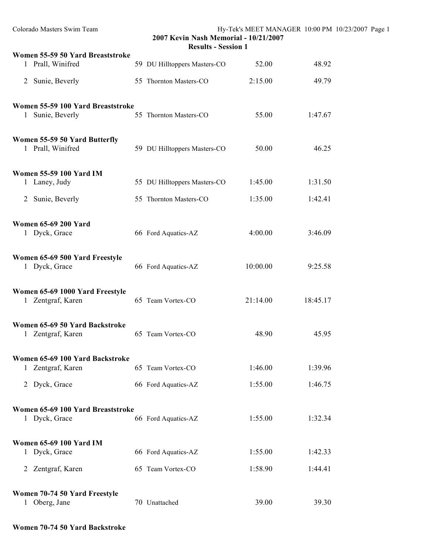| Colorado Masters Swim Team                           | Hy-Tek's MEET MANAGER 10:00 PM 10/23/2007 Page 1<br>2007 Kevin Nash Memorial - 10/21/2007<br><b>Results - Session 1</b> |                              |          |          |  |  |
|------------------------------------------------------|-------------------------------------------------------------------------------------------------------------------------|------------------------------|----------|----------|--|--|
| Women 55-59 50 Yard Breaststroke                     |                                                                                                                         |                              |          |          |  |  |
| 1 Prall, Winifred                                    |                                                                                                                         | 59 DU Hilltoppers Masters-CO | 52.00    | 48.92    |  |  |
| 2 Sunie, Beverly                                     |                                                                                                                         | 55 Thornton Masters-CO       | 2:15.00  | 49.79    |  |  |
| Women 55-59 100 Yard Breaststroke                    |                                                                                                                         |                              |          |          |  |  |
| 1 Sunie, Beverly                                     |                                                                                                                         | 55 Thornton Masters-CO       | 55.00    | 1:47.67  |  |  |
| Women 55-59 50 Yard Butterfly<br>1 Prall, Winifred   |                                                                                                                         | 59 DU Hilltoppers Masters-CO | 50.00    | 46.25    |  |  |
| <b>Women 55-59 100 Yard IM</b>                       |                                                                                                                         |                              |          |          |  |  |
| 1 Laney, Judy                                        |                                                                                                                         | 55 DU Hilltoppers Masters-CO | 1:45.00  | 1:31.50  |  |  |
| Sunie, Beverly<br>2                                  |                                                                                                                         | 55 Thornton Masters-CO       | 1:35.00  | 1:42.41  |  |  |
| <b>Women 65-69 200 Yard</b><br>1 Dyck, Grace         |                                                                                                                         | 66 Ford Aquatics-AZ          | 4:00.00  | 3:46.09  |  |  |
| Women 65-69 500 Yard Freestyle<br>1 Dyck, Grace      |                                                                                                                         | 66 Ford Aquatics-AZ          | 10:00.00 | 9:25.58  |  |  |
| Women 65-69 1000 Yard Freestyle<br>1 Zentgraf, Karen |                                                                                                                         | 65 Team Vortex-CO            | 21:14.00 | 18:45.17 |  |  |
| Women 65-69 50 Yard Backstroke<br>1 Zentgraf, Karen  |                                                                                                                         | 65 Team Vortex-CO            | 48.90    | 45.95    |  |  |
| Women 65-69 100 Yard Backstroke<br>1 Zentgraf, Karen |                                                                                                                         | 65 Team Vortex-CO            | 1:46.00  | 1:39.96  |  |  |
| 2 Dyck, Grace                                        |                                                                                                                         | 66 Ford Aquatics-AZ          | 1:55.00  | 1:46.75  |  |  |
| Women 65-69 100 Yard Breaststroke                    |                                                                                                                         |                              |          |          |  |  |
| 1 Dyck, Grace                                        |                                                                                                                         | 66 Ford Aquatics-AZ          | 1:55.00  | 1:32.34  |  |  |
| <b>Women 65-69 100 Yard IM</b>                       |                                                                                                                         |                              |          |          |  |  |
| 1 Dyck, Grace                                        |                                                                                                                         | 66 Ford Aquatics-AZ          | 1:55.00  | 1:42.33  |  |  |
| 2 Zentgraf, Karen                                    |                                                                                                                         | 65 Team Vortex-CO            | 1:58.90  | 1:44.41  |  |  |
| Women 70-74 50 Yard Freestyle                        |                                                                                                                         |                              |          |          |  |  |
| 1 Oberg, Jane                                        |                                                                                                                         | 70 Unattached                | 39.00    | 39.30    |  |  |

# **Women 70-74 50 Yard Backstroke**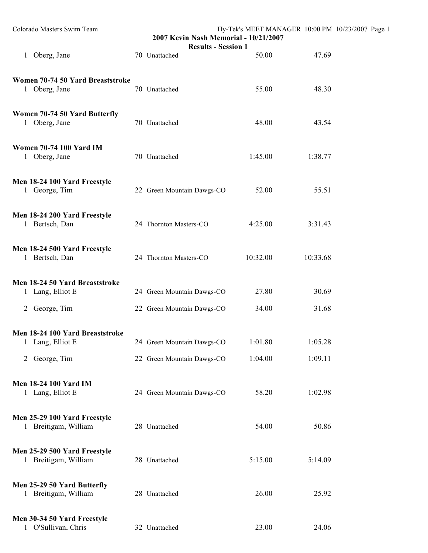| Colorado Masters Swim Team                           | 2007 Kevin Nash Memorial - 10/21/2007<br><b>Results - Session 1</b> | Hy-Tek's MEET MANAGER 10:00 PM 10/23/2007 Page 1 |          |  |
|------------------------------------------------------|---------------------------------------------------------------------|--------------------------------------------------|----------|--|
| 1 Oberg, Jane                                        | 70 Unattached                                                       | 50.00                                            | 47.69    |  |
| Women 70-74 50 Yard Breaststroke<br>1 Oberg, Jane    | 70 Unattached                                                       | 55.00                                            | 48.30    |  |
| Women 70-74 50 Yard Butterfly<br>1 Oberg, Jane       | 70 Unattached                                                       | 48.00                                            | 43.54    |  |
| <b>Women 70-74 100 Yard IM</b><br>1 Oberg, Jane      | 70 Unattached                                                       | 1:45.00                                          | 1:38.77  |  |
| Men 18-24 100 Yard Freestyle<br>1 George, Tim        | 22 Green Mountain Dawgs-CO                                          | 52.00                                            | 55.51    |  |
| Men 18-24 200 Yard Freestyle<br>1 Bertsch, Dan       | 24 Thornton Masters-CO                                              | 4:25.00                                          | 3:31.43  |  |
| Men 18-24 500 Yard Freestyle<br>1 Bertsch, Dan       | 24 Thornton Masters-CO                                              | 10:32.00                                         | 10:33.68 |  |
| Men 18-24 50 Yard Breaststroke<br>1 Lang, Elliot E   | 24 Green Mountain Dawgs-CO                                          | 27.80                                            | 30.69    |  |
| 2 George, Tim                                        | 22 Green Mountain Dawgs-CO                                          | 34.00                                            | 31.68    |  |
| Men 18-24 100 Yard Breaststroke<br>1 Lang, Elliot E  | 24 Green Mountain Dawgs-CO                                          | 1:01.80                                          | 1:05.28  |  |
| 2 George, Tim                                        | 22 Green Mountain Dawgs-CO                                          | 1:04.00                                          | 1:09.11  |  |
| <b>Men 18-24 100 Yard IM</b><br>1 Lang, Elliot E     | 24 Green Mountain Dawgs-CO                                          | 58.20                                            | 1:02.98  |  |
| Men 25-29 100 Yard Freestyle<br>1 Breitigam, William | 28 Unattached                                                       | 54.00                                            | 50.86    |  |
| Men 25-29 500 Yard Freestyle<br>1 Breitigam, William | 28 Unattached                                                       | 5:15.00                                          | 5:14.09  |  |
| Men 25-29 50 Yard Butterfly<br>1 Breitigam, William  | 28 Unattached                                                       | 26.00                                            | 25.92    |  |
| Men 30-34 50 Yard Freestyle<br>1 O'Sullivan. Chris   | 32 Unattached                                                       | 23.00                                            | 24.06    |  |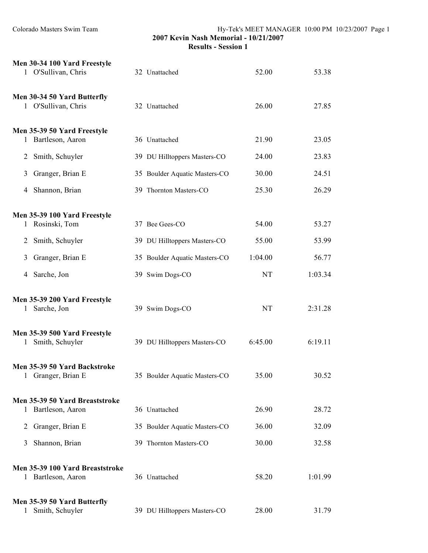|                | Men 30-34 100 Yard Freestyle<br>1 O'Sullivan, Chris   | 32 Unattached                 | 52.00   | 53.38   |
|----------------|-------------------------------------------------------|-------------------------------|---------|---------|
|                | Men 30-34 50 Yard Butterfly<br>1 O'Sullivan, Chris    | 32 Unattached                 | 26.00   | 27.85   |
|                | Men 35-39 50 Yard Freestyle<br>1 Bartleson, Aaron     | 36 Unattached                 | 21.90   | 23.05   |
| $\overline{2}$ | Smith, Schuyler                                       | 39 DU Hilltoppers Masters-CO  | 24.00   | 23.83   |
| 3              | Granger, Brian E                                      | 35 Boulder Aquatic Masters-CO | 30.00   | 24.51   |
| 4              | Shannon, Brian                                        | 39 Thornton Masters-CO        | 25.30   | 26.29   |
|                | Men 35-39 100 Yard Freestyle<br>1 Rosinski, Tom       | 37 Bee Gees-CO                | 54.00   | 53.27   |
| 2              | Smith, Schuyler                                       | 39 DU Hilltoppers Masters-CO  | 55.00   | 53.99   |
|                |                                                       |                               |         |         |
| 3              | Granger, Brian E                                      | 35 Boulder Aquatic Masters-CO | 1:04.00 | 56.77   |
| 4              | Sarche, Jon                                           | 39 Swim Dogs-CO               | NT      | 1:03.34 |
| 1              | Men 35-39 200 Yard Freestyle<br>Sarche, Jon           | 39 Swim Dogs-CO               | NT      | 2:31.28 |
| 1              | Men 35-39 500 Yard Freestyle<br>Smith, Schuyler       | 39 DU Hilltoppers Masters-CO  | 6:45.00 | 6:19.11 |
|                | Men 35-39 50 Yard Backstroke<br>1 Granger, Brian E    | 35 Boulder Aquatic Masters-CO | 35.00   | 30.52   |
| 1              | Men 35-39 50 Yard Breaststroke<br>Bartleson, Aaron    | 36 Unattached                 | 26.90   | 28.72   |
| 2              | Granger, Brian E                                      | 35 Boulder Aquatic Masters-CO | 36.00   | 32.09   |
| 3              | Shannon, Brian                                        | 39 Thornton Masters-CO        | 30.00   | 32.58   |
|                | Men 35-39 100 Yard Breaststroke<br>1 Bartleson, Aaron | 36 Unattached                 | 58.20   | 1:01.99 |
|                | Men 35-39 50 Yard Butterfly<br>Smith, Schuyler        | 39 DU Hilltoppers Masters-CO  | 28.00   | 31.79   |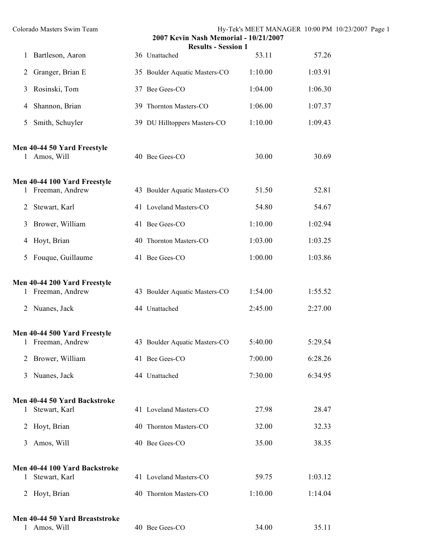|                | Colorado Masters Swim Team                        | 2007 Kevin Nash Memorial - 10/21/2007<br><b>Results - Session 1</b> |         | Hy-Tek's MEET MANAGER 10:00 PM 10/23/2007 Page 1 |
|----------------|---------------------------------------------------|---------------------------------------------------------------------|---------|--------------------------------------------------|
| 1              | Bartleson, Aaron                                  | 36 Unattached                                                       | 53.11   | 57.26                                            |
| 2              | Granger, Brian E                                  | 35 Boulder Aquatic Masters-CO                                       | 1:10.00 | 1:03.91                                          |
| 3              | Rosinski, Tom                                     | 37 Bee Gees-CO                                                      | 1:04.00 | 1:06.30                                          |
| 4              | Shannon, Brian                                    | 39 Thornton Masters-CO                                              | 1:06.00 | 1:07.37                                          |
| 5              | Smith, Schuyler                                   | 39 DU Hilltoppers Masters-CO                                        | 1:10.00 | 1:09.43                                          |
|                | Men 40-44 50 Yard Freestyle<br>1 Amos, Will       | 40 Bee Gees-CO                                                      | 30.00   | 30.69                                            |
|                | Men 40-44 100 Yard Freestyle<br>1 Freeman, Andrew | 43 Boulder Aquatic Masters-CO                                       | 51.50   | 52.81                                            |
| 2              | Stewart, Karl                                     | 41 Loveland Masters-CO                                              | 54.80   | 54.67                                            |
| 3              | Brower, William                                   | 41 Bee Gees-CO                                                      | 1:10.00 | 1:02.94                                          |
| 4              | Hoyt, Brian                                       | 40 Thornton Masters-CO                                              | 1:03.00 | 1:03.25                                          |
| 5              | Fouque, Guillaume                                 | 41 Bee Gees-CO                                                      | 1:00.00 | 1:03.86                                          |
|                | Men 40-44 200 Yard Freestyle<br>1 Freeman, Andrew | 43 Boulder Aquatic Masters-CO                                       | 1:54.00 | 1:55.52                                          |
| 2              | Nuanes, Jack                                      | 44 Unattached                                                       | 2:45.00 | 2:27.00                                          |
| $\perp$        | Men 40-44 500 Yard Freestyle<br>Freeman, Andrew   | 43 Boulder Aquatic Masters-CO                                       | 5:40.00 | 5:29.54                                          |
| 2              | Brower, William                                   | 41 Bee Gees-CO                                                      | 7:00.00 | 6:28.26                                          |
| 3              | Nuanes, Jack                                      | 44 Unattached                                                       | 7:30.00 | 6:34.95                                          |
| $\mathbf{1}$   | Men 40-44 50 Yard Backstroke<br>Stewart, Karl     | 41 Loveland Masters-CO                                              | 27.98   | 28.47                                            |
| $\overline{2}$ | Hoyt, Brian                                       | 40 Thornton Masters-CO                                              | 32.00   | 32.33                                            |
| 3              | Amos, Will                                        | 40 Bee Gees-CO                                                      | 35.00   | 38.35                                            |
| 1              | Men 40-44 100 Yard Backstroke<br>Stewart, Karl    | 41 Loveland Masters-CO                                              | 59.75   | 1:03.12                                          |
| $\overline{2}$ | Hoyt, Brian                                       | 40 Thornton Masters-CO                                              | 1:10.00 | 1:14.04                                          |
|                | Men 40-44 50 Yard Breaststroke<br>1 Amos. Will    | 40 Bee Gees-CO                                                      | 34.00   | 35.11                                            |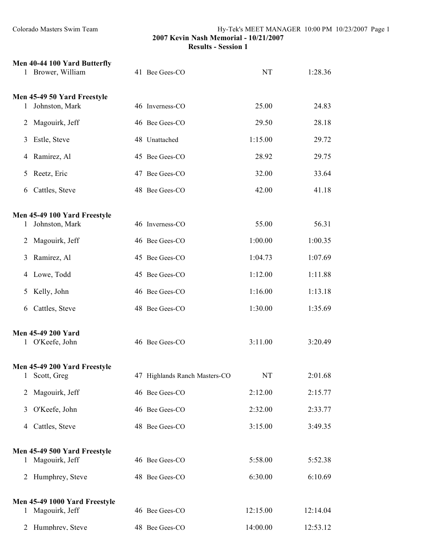|              | Men 40-44 100 Yard Butterfly<br>1 Brower, William | 41 Bee Gees-CO                | <b>NT</b> | 1:28.36  |
|--------------|---------------------------------------------------|-------------------------------|-----------|----------|
|              | Men 45-49 50 Yard Freestyle                       |                               | 25.00     | 24.83    |
|              | Johnston, Mark                                    | 46 Inverness-CO               |           |          |
| 2            | Magouirk, Jeff                                    | 46 Bee Gees-CO                | 29.50     | 28.18    |
| 3            | Estle, Steve                                      | 48 Unattached                 | 1:15.00   | 29.72    |
| 4            | Ramirez, Al                                       | 45 Bee Gees-CO                | 28.92     | 29.75    |
| 5            | Reetz, Eric                                       | 47 Bee Gees-CO                | 32.00     | 33.64    |
| 6            | Cattles, Steve                                    | 48 Bee Gees-CO                | 42.00     | 41.18    |
|              | Men 45-49 100 Yard Freestyle                      |                               |           |          |
| 1            | Johnston, Mark                                    | 46 Inverness-CO               | 55.00     | 56.31    |
| 2            | Magouirk, Jeff                                    | 46 Bee Gees-CO                | 1:00.00   | 1:00.35  |
| 3            | Ramirez, Al                                       | 45 Bee Gees-CO                | 1:04.73   | 1:07.69  |
|              | 4 Lowe, Todd                                      | 45 Bee Gees-CO                | 1:12.00   | 1:11.88  |
| 5            | Kelly, John                                       | 46 Bee Gees-CO                | 1:16.00   | 1:13.18  |
| 6            | Cattles, Steve                                    | 48 Bee Gees-CO                | 1:30.00   | 1:35.69  |
|              | <b>Men 45-49 200 Yard</b><br>1 O'Keefe, John      | 46 Bee Gees-CO                | 3:11.00   | 3:20.49  |
| 1            | Men 45-49 200 Yard Freestyle<br>Scott, Greg       | 47 Highlands Ranch Masters-CO | NT        | 2:01.68  |
| 2            | Magouirk, Jeff                                    | 46 Bee Gees-CO                | 2:12.00   | 2:15.77  |
| 3            | O'Keefe, John                                     | 46 Bee Gees-CO                | 2:32.00   | 2:33.77  |
| 4            | Cattles, Steve                                    | 48 Bee Gees-CO                | 3:15.00   | 3:49.35  |
|              | Men 45-49 500 Yard Freestyle                      |                               |           |          |
| 1            | Magouirk, Jeff                                    | 46 Bee Gees-CO                | 5:58.00   | 5:52.38  |
| 2            | Humphrey, Steve                                   | 48 Bee Gees-CO                | 6:30.00   | 6:10.69  |
|              | Men 45-49 1000 Yard Freestyle                     |                               |           |          |
| $\mathbf{1}$ | Magouirk, Jeff                                    | 46 Bee Gees-CO                | 12:15.00  | 12:14.04 |
| 2            | Humphrev. Steve                                   | 48 Bee Gees-CO                | 14:00.00  | 12:53.12 |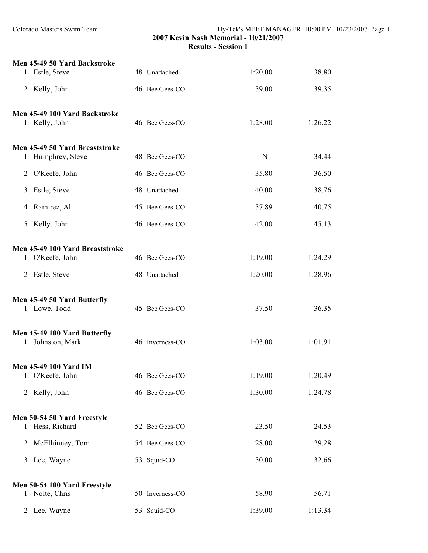| 1            | Men 45-49 50 Yard Backstroke<br>Estle, Steve | 48 Unattached   | 1:20.00   | 38.80   |
|--------------|----------------------------------------------|-----------------|-----------|---------|
|              |                                              |                 |           |         |
|              | 2 Kelly, John                                | 46 Bee Gees-CO  | 39.00     | 39.35   |
|              | Men 45-49 100 Yard Backstroke                |                 |           |         |
|              | 1 Kelly, John                                | 46 Bee Gees-CO  | 1:28.00   | 1:26.22 |
|              | Men 45-49 50 Yard Breaststroke               |                 |           |         |
| 1            | Humphrey, Steve                              | 48 Bee Gees-CO  | <b>NT</b> | 34.44   |
|              | 2 O'Keefe, John                              | 46 Bee Gees-CO  | 35.80     | 36.50   |
| 3            | Estle, Steve                                 | 48 Unattached   | 40.00     | 38.76   |
|              | 4 Ramirez, Al                                | 45 Bee Gees-CO  | 37.89     | 40.75   |
|              | 5 Kelly, John                                | 46 Bee Gees-CO  | 42.00     | 45.13   |
|              | Men 45-49 100 Yard Breaststroke              |                 |           |         |
|              | 1 O'Keefe, John                              | 46 Bee Gees-CO  | 1:19.00   | 1:24.29 |
|              | 2 Estle, Steve                               | 48 Unattached   | 1:20.00   | 1:28.96 |
|              | Men 45-49 50 Yard Butterfly                  |                 |           |         |
|              | 1 Lowe, Todd                                 | 45 Bee Gees-CO  | 37.50     | 36.35   |
|              | Men 45-49 100 Yard Butterfly                 |                 |           |         |
| $\mathbf{1}$ | Johnston, Mark                               | 46 Inverness-CO | 1:03.00   | 1:01.91 |
|              | Men 45-49 100 Yard IM                        |                 |           |         |
|              | 1 O'Keefe, John                              | 46 Bee Gees-CO  | 1:19.00   | 1:20.49 |
|              | 2 Kelly, John                                | 46 Bee Gees-CO  | 1:30.00   | 1:24.78 |
|              | Men 50-54 50 Yard Freestyle                  |                 |           |         |
|              | 1 Hess, Richard                              | 52 Bee Gees-CO  | 23.50     | 24.53   |
| 2            | McElhinney, Tom                              | 54 Bee Gees-CO  | 28.00     | 29.28   |
|              | 3 Lee, Wayne                                 | 53 Squid-CO     | 30.00     | 32.66   |
|              | Men 50-54 100 Yard Freestyle                 |                 |           |         |
|              | 1 Nolte, Chris                               | 50 Inverness-CO | 58.90     | 56.71   |
|              | 2 Lee, Wayne                                 | 53 Squid-CO     | 1:39.00   | 1:13.34 |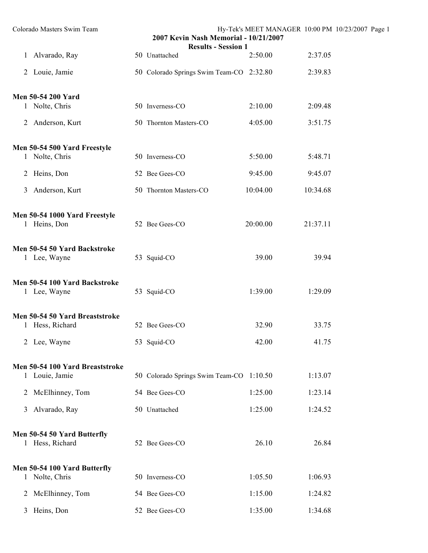| Colorado Masters Swim Team                        | 2007 Kevin Nash Memorial - 10/21/2007       |          |          | Hy-Tek's MEET MANAGER 10:00 PM 10/23/2007 Page 1 |
|---------------------------------------------------|---------------------------------------------|----------|----------|--------------------------------------------------|
| 1 Alvarado, Ray                                   | <b>Results - Session 1</b><br>50 Unattached | 2:50.00  | 2:37.05  |                                                  |
|                                                   |                                             |          |          |                                                  |
| 2 Louie, Jamie                                    | 50 Colorado Springs Swim Team-CO 2:32.80    |          | 2:39.83  |                                                  |
| Men 50-54 200 Yard                                |                                             |          |          |                                                  |
| 1 Nolte, Chris                                    | 50 Inverness-CO                             | 2:10.00  | 2:09.48  |                                                  |
| 2 Anderson, Kurt                                  | 50 Thornton Masters-CO                      | 4:05.00  | 3:51.75  |                                                  |
|                                                   |                                             |          |          |                                                  |
| Men 50-54 500 Yard Freestyle<br>1 Nolte, Chris    | 50 Inverness-CO                             | 5:50.00  | 5:48.71  |                                                  |
| Heins, Don<br>2                                   | 52 Bee Gees-CO                              | 9:45.00  | 9:45.07  |                                                  |
| Anderson, Kurt<br>3                               | 50 Thornton Masters-CO                      | 10:04.00 | 10:34.68 |                                                  |
|                                                   |                                             |          |          |                                                  |
| Men 50-54 1000 Yard Freestyle                     |                                             |          |          |                                                  |
| 1 Heins, Don                                      | 52 Bee Gees-CO                              | 20:00.00 | 21:37.11 |                                                  |
| Men 50-54 50 Yard Backstroke                      |                                             |          |          |                                                  |
| 1 Lee, Wayne                                      | 53 Squid-CO                                 | 39.00    | 39.94    |                                                  |
| Men 50-54 100 Yard Backstroke                     |                                             |          |          |                                                  |
| 1 Lee, Wayne                                      | 53 Squid-CO                                 | 1:39.00  | 1:29.09  |                                                  |
| Men 50-54 50 Yard Breaststroke                    |                                             |          |          |                                                  |
| 1 Hess, Richard                                   | 52 Bee Gees-CO                              | 32.90    | 33.75    |                                                  |
| $\overline{2}$<br>Lee, Wayne                      | 53 Squid-CO                                 | 42.00    | 41.75    |                                                  |
|                                                   |                                             |          |          |                                                  |
| Men 50-54 100 Yard Breaststroke<br>1 Louie, Jamie | 50 Colorado Springs Swim Team-CO 1:10.50    |          | 1:13.07  |                                                  |
| McElhinney, Tom<br>$\overline{2}$                 | 54 Bee Gees-CO                              | 1:25.00  | 1:23.14  |                                                  |
| Alvarado, Ray<br>3                                | 50 Unattached                               | 1:25.00  | 1:24.52  |                                                  |
|                                                   |                                             |          |          |                                                  |
| Men 50-54 50 Yard Butterfly<br>1 Hess, Richard    | 52 Bee Gees-CO                              | 26.10    | 26.84    |                                                  |
|                                                   |                                             |          |          |                                                  |
| Men 50-54 100 Yard Butterfly                      |                                             |          |          |                                                  |
| 1 Nolte, Chris                                    | 50 Inverness-CO                             | 1:05.50  | 1:06.93  |                                                  |
| McElhinney, Tom<br>2                              | 54 Bee Gees-CO                              | 1:15.00  | 1:24.82  |                                                  |
| 3 Heins, Don                                      | 52 Bee Gees-CO                              | 1:35.00  | 1:34.68  |                                                  |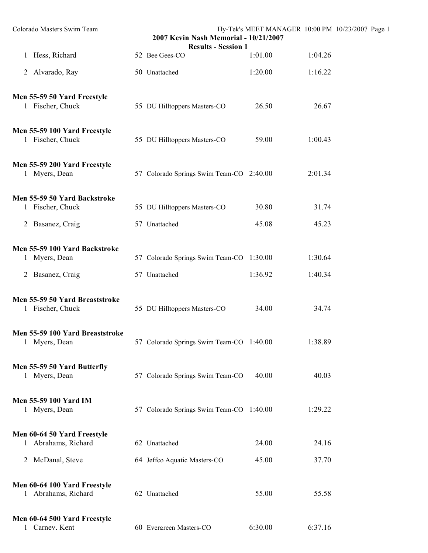| Colorado Masters Swim Team                                   | 2007 Kevin Nash Memorial - 10/21/2007<br><b>Results - Session 1</b> |         | Hy-Tek's MEET MANAGER 10:00 PM 10/23/2007 Page 1 |  |
|--------------------------------------------------------------|---------------------------------------------------------------------|---------|--------------------------------------------------|--|
| 1 Hess, Richard                                              | 52 Bee Gees-CO                                                      | 1:01.00 | 1:04.26                                          |  |
| 2 Alvarado, Ray                                              | 50 Unattached                                                       | 1:20.00 | 1:16.22                                          |  |
| Men 55-59 50 Yard Freestyle<br>1 Fischer, Chuck              | 55 DU Hilltoppers Masters-CO                                        | 26.50   | 26.67                                            |  |
| Men 55-59 100 Yard Freestyle<br>1 Fischer, Chuck             | 55 DU Hilltoppers Masters-CO                                        | 59.00   | 1:00.43                                          |  |
| Men 55-59 200 Yard Freestyle<br>1 Myers, Dean                | 57 Colorado Springs Swim Team-CO 2:40.00                            |         | 2:01.34                                          |  |
| Men 55-59 50 Yard Backstroke<br>1 Fischer, Chuck             | 55 DU Hilltoppers Masters-CO                                        | 30.80   | 31.74                                            |  |
| 2 Basanez, Craig                                             | 57 Unattached                                                       | 45.08   | 45.23                                            |  |
| Men 55-59 100 Yard Backstroke<br>1 Myers, Dean               | 57 Colorado Springs Swim Team-CO 1:30.00                            |         | 1:30.64                                          |  |
| 2 Basanez, Craig                                             | 57 Unattached                                                       | 1:36.92 | 1:40.34                                          |  |
| Men 55-59 50 Yard Breaststroke<br>1 Fischer, Chuck           | 55 DU Hilltoppers Masters-CO                                        | 34.00   | 34.74                                            |  |
| Men 55-59 100 Yard Breaststroke<br>Myers, Dean               | 57 Colorado Springs Swim Team-CO 1:40.00                            |         | 1:38.89                                          |  |
| Men 55-59 50 Yard Butterfly<br>1 Myers, Dean                 | 57 Colorado Springs Swim Team-CO                                    | 40.00   | 40.03                                            |  |
| <b>Men 55-59 100 Yard IM</b><br>1 Myers, Dean                | 57 Colorado Springs Swim Team-CO 1:40.00                            |         | 1:29.22                                          |  |
| Men 60-64 50 Yard Freestyle<br>Abrahams, Richard<br>1        | 62 Unattached                                                       | 24.00   | 24.16                                            |  |
| 2 McDanal, Steve                                             | 64 Jeffco Aquatic Masters-CO                                        | 45.00   | 37.70                                            |  |
| Men 60-64 100 Yard Freestyle<br>1 Abrahams, Richard          | 62 Unattached                                                       | 55.00   | 55.58                                            |  |
| Men 60-64 500 Yard Freestyle<br>Carnev. Kent<br>$\mathbf{1}$ | 60 Evergreen Masters-CO                                             | 6:30.00 | 6:37.16                                          |  |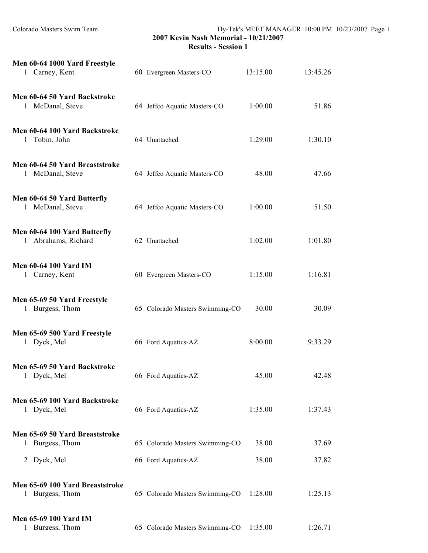| Men 60-64 1000 Yard Freestyle<br>1 Carney, Kent     | 60 Evergreen Masters-CO         | 13:15.00 | 13:45.26 |
|-----------------------------------------------------|---------------------------------|----------|----------|
| Men 60-64 50 Yard Backstroke<br>1 McDanal, Steve    | 64 Jeffco Aquatic Masters-CO    | 1:00.00  | 51.86    |
| Men 60-64 100 Yard Backstroke<br>1 Tobin, John      | 64 Unattached                   | 1:29.00  | 1:30.10  |
| Men 60-64 50 Yard Breaststroke<br>1 McDanal, Steve  | 64 Jeffco Aquatic Masters-CO    | 48.00    | 47.66    |
| Men 60-64 50 Yard Butterfly<br>1 McDanal, Steve     | 64 Jeffco Aquatic Masters-CO    | 1:00.00  | 51.50    |
| Men 60-64 100 Yard Butterfly<br>1 Abrahams, Richard | 62 Unattached                   | 1:02.00  | 1:01.80  |
| <b>Men 60-64 100 Yard IM</b><br>1 Carney, Kent      | 60 Evergreen Masters-CO         | 1:15.00  | 1:16.81  |
| Men 65-69 50 Yard Freestyle<br>1 Burgess, Thom      | 65 Colorado Masters Swimming-CO | 30.00    | 30.09    |
| Men 65-69 500 Yard Freestyle<br>1 Dyck, Mel         | 66 Ford Aquatics-AZ             | 8:00.00  | 9:33.29  |
| Men 65-69 50 Yard Backstroke<br>Dyck, Mel           | 66 Ford Aquatics-AZ             | 45.00    | 42.48    |
| Men 65-69 100 Yard Backstroke<br>1 Dyck, Mel        | 66 Ford Aquatics-AZ             | 1:35.00  | 1:37.43  |
| Men 65-69 50 Yard Breaststroke<br>1 Burgess, Thom   | 65 Colorado Masters Swimming-CO | 38.00    | 37.69    |
| 2 Dyck, Mel                                         | 66 Ford Aquatics-AZ             | 38.00    | 37.82    |
| Men 65-69 100 Yard Breaststroke<br>Burgess, Thom    | 65 Colorado Masters Swimming-CO | 1:28.00  | 1:25.13  |
| <b>Men 65-69 100 Yard IM</b><br>Burgess. Thom       | 65 Colorado Masters Swimming-CO | 1:35.00  | 1:26.71  |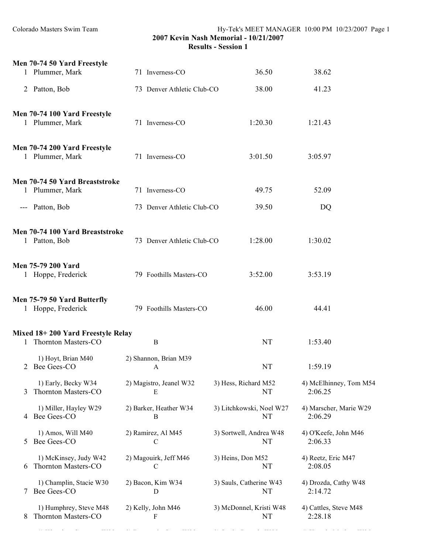|   | Men 70-74 50 Yard Freestyle<br>1 Plummer, Mark           | 71 Inverness-CO              | 36.50                          | 38.62                             |
|---|----------------------------------------------------------|------------------------------|--------------------------------|-----------------------------------|
|   | 2 Patton, Bob                                            | 73 Denver Athletic Club-CO   | 38.00                          | 41.23                             |
|   | Men 70-74 100 Yard Freestyle<br>1 Plummer, Mark          | 71 Inverness-CO              | 1:20.30                        | 1:21.43                           |
|   | Men 70-74 200 Yard Freestyle<br>1 Plummer, Mark          | 71 Inverness-CO              | 3:01.50                        | 3:05.97                           |
|   | Men 70-74 50 Yard Breaststroke<br>1 Plummer, Mark        | 71 Inverness-CO              | 49.75                          | 52.09                             |
|   | --- Patton, Bob                                          | 73 Denver Athletic Club-CO   | 39.50                          | DQ                                |
|   | Men 70-74 100 Yard Breaststroke<br>1 Patton, Bob         | 73 Denver Athletic Club-CO   | 1:28.00                        | 1:30.02                           |
|   | Men 75-79 200 Yard<br>1 Hoppe, Frederick                 | 79 Foothills Masters-CO      | 3:52.00                        | 3:53.19                           |
|   | Men 75-79 50 Yard Butterfly<br>1 Hoppe, Frederick        | 79 Foothills Masters-CO      | 46.00                          | 44.41                             |
|   | Mixed 18+200 Yard Freestyle Relay<br>Thornton Masters-CO | B                            | <b>NT</b>                      | 1:53.40                           |
|   | 1) Hoyt, Brian M40<br>2 Bee Gees-CO                      | 2) Shannon, Brian M39<br>A   | <b>NT</b>                      | 1:59.19                           |
| 3 | 1) Early, Becky W34<br>Thornton Masters-CO               | 2) Magistro, Jeanel W32<br>E | 3) Hess, Richard M52<br>NT     | 4) McElhinney, Tom M54<br>2:06.25 |
| 4 | 1) Miller, Hayley W29<br>Bee Gees-CO                     | 2) Barker, Heather W34<br>B  | 3) Litchkowski, Noel W27<br>NT | 4) Marscher, Marie W29<br>2:06.29 |
| 5 | 1) Amos, Will M40<br>Bee Gees-CO                         | 2) Ramirez, Al M45<br>C      | 3) Sortwell, Andrea W48<br>NT  | 4) O'Keefe, John M46<br>2:06.33   |
| 6 | 1) McKinsey, Judy W42<br>Thornton Masters-CO             | 2) Magouirk, Jeff M46<br>C   | 3) Heins, Don M52<br>NT        | 4) Reetz, Eric M47<br>2:08.05     |
| 7 | 1) Champlin, Stacie W30<br>Bee Gees-CO                   | 2) Bacon, Kim W34<br>D       | 3) Sauls, Catherine W43<br>NT  | 4) Drozda, Cathy W48<br>2:14.72   |
| 8 | 1) Humphrey, Steve M48<br>Thornton Masters-CO            | 2) Kelly, John M46<br>F      | 3) McDonnel, Kristi W48<br>NT  | 4) Cattles, Steve M48<br>2:28.18  |